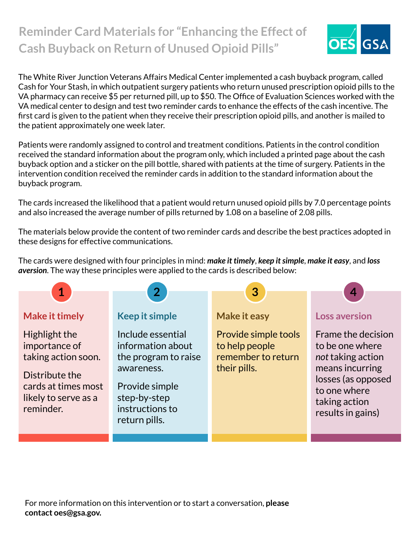## **Reminder Card Materials for "Enhancing the Effect of Cash Buyback on Return of Unused Opioid Pills"**



The White River Junction Veterans Affairs Medical Center implemented a cash buyback program, called Cash for Your Stash, in which outpatient surgery patients who return unused prescription opioid pills to the VA pharmacy can receive \$5 per returned pill, up to \$50. The Office of Evaluation Sciences worked with the VA medical center to design and test two reminder cards to enhance the effects of the cash incentive. The first card is given to the patient when they receive their prescription opioid pills, and another is mailed to the patient approximately one week later.

Patients were randomly assigned to control and treatment conditions. Patients in the control condition received the standard information about the program only, which included a printed page about the cash buyback option and a sticker on the pill bottle, shared with patients at the time of surgery. Patients in the intervention condition received the reminder cards in addition to the standard information about the buyback program.

The cards increased the likelihood that a patient would return unused opioid pills by 7.0 percentage points and also increased the average number of pills returned by 1.08 on a baseline of 2.08 pills.

The materials below provide the content of two reminder cards and describe the best practices adopted in these designs for effective communications.

The cards were designed with four principles in mind: *make it timely*, *keep it simple*, *make it easy*, and *loss aversion*. The way these principles were applied to the cards is described below:

| $\mathbf 1$                                                                                                                         |                                                                                                                                                    |                                                                              | 4                                                                                                                                                         |
|-------------------------------------------------------------------------------------------------------------------------------------|----------------------------------------------------------------------------------------------------------------------------------------------------|------------------------------------------------------------------------------|-----------------------------------------------------------------------------------------------------------------------------------------------------------|
|                                                                                                                                     | 2 <sup>1</sup>                                                                                                                                     | 3                                                                            |                                                                                                                                                           |
| <b>Make it timely</b>                                                                                                               | <b>Keep it simple</b>                                                                                                                              | <b>Make it easy</b>                                                          | <b>Loss aversion</b>                                                                                                                                      |
| Highlight the<br>importance of<br>taking action soon.<br>Distribute the<br>cards at times most<br>likely to serve as a<br>reminder. | Include essential<br>information about<br>the program to raise<br>awareness.<br>Provide simple<br>step-by-step<br>instructions to<br>return pills. | Provide simple tools<br>to help people<br>remember to return<br>their pills. | Frame the decision<br>to be one where<br>not taking action<br>means incurring<br>losses (as opposed<br>to one where<br>taking action<br>results in gains) |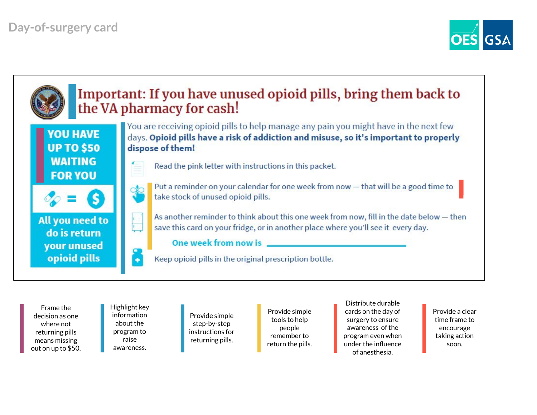



Frame the decision as one where not returning pills means missing out on up to \$50. Highlight key information about the program to raise awareness.

Provide simple step-by-step instructions for returning pills.

Provide simple tools to help people remember to return the pills.

Distribute durable cards on the day of surgery to ensure awareness of the program even when under the influence of anesthesia.

Provide a clear time frame to encourage taking action soon.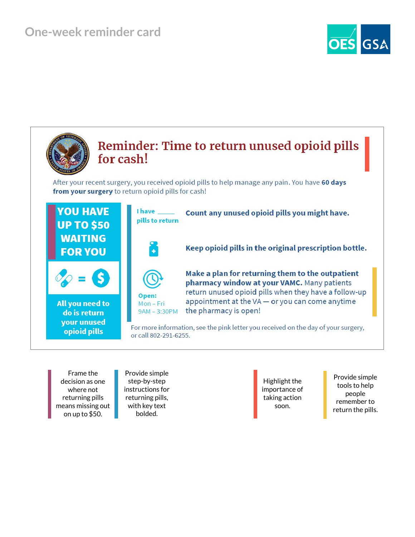

Frame the decision as one where not returning pills means missing out on up to \$50.

Provide simple step-by-step instructions for returning pills, with key text bolded.

Highlight the importance of taking action soon.

Provide simple tools to help people remember to return the pills.